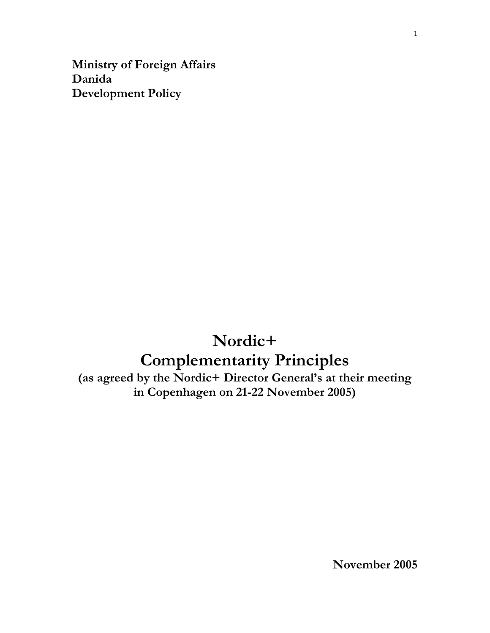**Ministry of Foreign Affairs Danida Development Policy**

# **Nordic+ Complementarity Principles**

**(as agreed by the Nordic+ Director General's at their meeting in Copenhagen on 21-22 November 2005)**

**November 2005**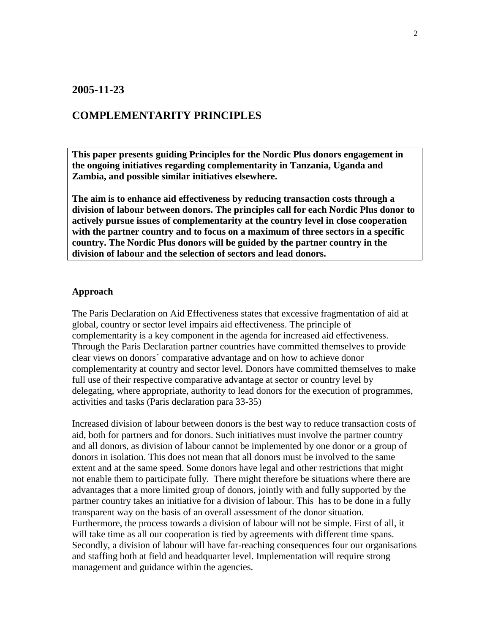### **2005-11-23**

## **COMPLEMENTARITY PRINCIPLES**

**This paper presents guiding Principles for the Nordic Plus donors engagement in the ongoing initiatives regarding complementarity in Tanzania, Uganda and Zambia, and possible similar initiatives elsewhere.** 

**The aim is to enhance aid effectiveness by reducing transaction costs through a division of labour between donors. The principles call for each Nordic Plus donor to actively pursue issues of complementarity at the country level in close cooperation with the partner country and to focus on a maximum of three sectors in a specific country. The Nordic Plus donors will be guided by the partner country in the division of labour and the selection of sectors and lead donors.**

#### **Approach**

The Paris Declaration on Aid Effectiveness states that excessive fragmentation of aid at global, country or sector level impairs aid effectiveness. The principle of complementarity is a key component in the agenda for increased aid effectiveness. Through the Paris Declaration partner countries have committed themselves to provide clear views on donors´ comparative advantage and on how to achieve donor complementarity at country and sector level. Donors have committed themselves to make full use of their respective comparative advantage at sector or country level by delegating, where appropriate, authority to lead donors for the execution of programmes, activities and tasks (Paris declaration para 33-35)

Increased division of labour between donors is the best way to reduce transaction costs of aid, both for partners and for donors. Such initiatives must involve the partner country and all donors, as division of labour cannot be implemented by one donor or a group of donors in isolation. This does not mean that all donors must be involved to the same extent and at the same speed. Some donors have legal and other restrictions that might not enable them to participate fully. There might therefore be situations where there are advantages that a more limited group of donors, jointly with and fully supported by the partner country takes an initiative for a division of labour. This has to be done in a fully transparent way on the basis of an overall assessment of the donor situation. Furthermore, the process towards a division of labour will not be simple. First of all, it will take time as all our cooperation is tied by agreements with different time spans. Secondly, a division of labour will have far-reaching consequences four our organisations and staffing both at field and headquarter level. Implementation will require strong management and guidance within the agencies.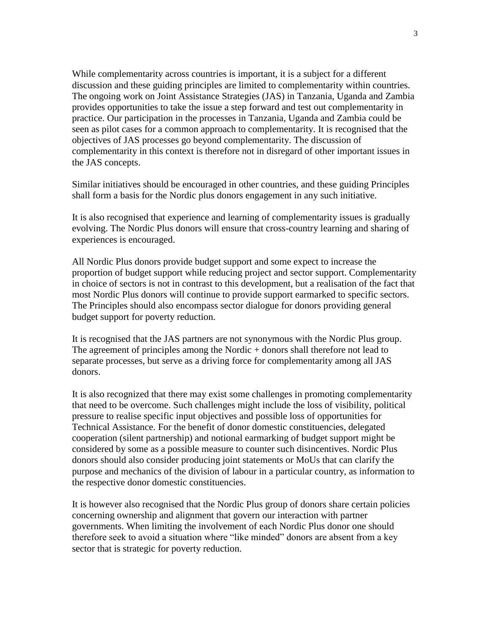While complementarity across countries is important, it is a subject for a different discussion and these guiding principles are limited to complementarity within countries. The ongoing work on Joint Assistance Strategies (JAS) in Tanzania, Uganda and Zambia provides opportunities to take the issue a step forward and test out complementarity in practice. Our participation in the processes in Tanzania, Uganda and Zambia could be seen as pilot cases for a common approach to complementarity. It is recognised that the objectives of JAS processes go beyond complementarity. The discussion of complementarity in this context is therefore not in disregard of other important issues in the JAS concepts.

Similar initiatives should be encouraged in other countries, and these guiding Principles shall form a basis for the Nordic plus donors engagement in any such initiative.

It is also recognised that experience and learning of complementarity issues is gradually evolving. The Nordic Plus donors will ensure that cross-country learning and sharing of experiences is encouraged.

All Nordic Plus donors provide budget support and some expect to increase the proportion of budget support while reducing project and sector support. Complementarity in choice of sectors is not in contrast to this development, but a realisation of the fact that most Nordic Plus donors will continue to provide support earmarked to specific sectors. The Principles should also encompass sector dialogue for donors providing general budget support for poverty reduction.

It is recognised that the JAS partners are not synonymous with the Nordic Plus group. The agreement of principles among the Nordic + donors shall therefore not lead to separate processes, but serve as a driving force for complementarity among all JAS donors.

It is also recognized that there may exist some challenges in promoting complementarity that need to be overcome. Such challenges might include the loss of visibility, political pressure to realise specific input objectives and possible loss of opportunities for Technical Assistance. For the benefit of donor domestic constituencies, delegated cooperation (silent partnership) and notional earmarking of budget support might be considered by some as a possible measure to counter such disincentives. Nordic Plus donors should also consider producing joint statements or MoUs that can clarify the purpose and mechanics of the division of labour in a particular country, as information to the respective donor domestic constituencies.

It is however also recognised that the Nordic Plus group of donors share certain policies concerning ownership and alignment that govern our interaction with partner governments. When limiting the involvement of each Nordic Plus donor one should therefore seek to avoid a situation where "like minded" donors are absent from a key sector that is strategic for poverty reduction.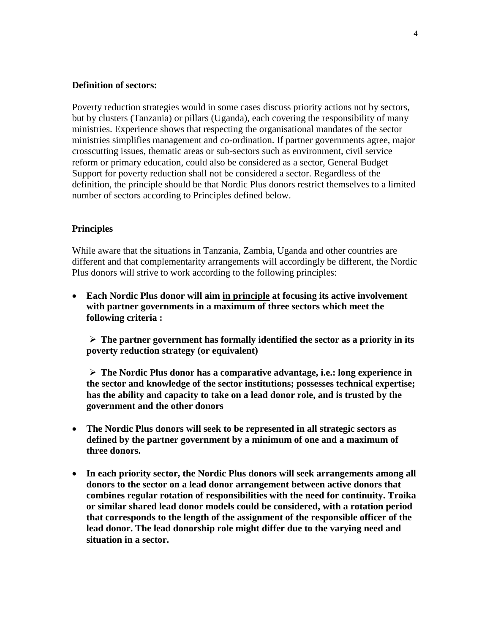#### **Definition of sectors:**

Poverty reduction strategies would in some cases discuss priority actions not by sectors, but by clusters (Tanzania) or pillars (Uganda), each covering the responsibility of many ministries. Experience shows that respecting the organisational mandates of the sector ministries simplifies management and co-ordination. If partner governments agree, major crosscutting issues, thematic areas or sub-sectors such as environment, civil service reform or primary education, could also be considered as a sector, General Budget Support for poverty reduction shall not be considered a sector. Regardless of the definition, the principle should be that Nordic Plus donors restrict themselves to a limited number of sectors according to Principles defined below.

#### **Principles**

While aware that the situations in Tanzania, Zambia, Uganda and other countries are different and that complementarity arrangements will accordingly be different, the Nordic Plus donors will strive to work according to the following principles:

 **Each Nordic Plus donor will aim in principle at focusing its active involvement with partner governments in a maximum of three sectors which meet the following criteria :**

 $\triangleright$  The partner government has formally identified the sector as a priority in its **poverty reduction strategy (or equivalent)**

 **The Nordic Plus donor has a comparative advantage, i.e.: long experience in the sector and knowledge of the sector institutions; possesses technical expertise; has the ability and capacity to take on a lead donor role, and is trusted by the government and the other donors** 

- **The Nordic Plus donors will seek to be represented in all strategic sectors as defined by the partner government by a minimum of one and a maximum of three donors.**
- **In each priority sector, the Nordic Plus donors will seek arrangements among all donors to the sector on a lead donor arrangement between active donors that combines regular rotation of responsibilities with the need for continuity. Troika or similar shared lead donor models could be considered, with a rotation period that corresponds to the length of the assignment of the responsible officer of the lead donor. The lead donorship role might differ due to the varying need and situation in a sector.**